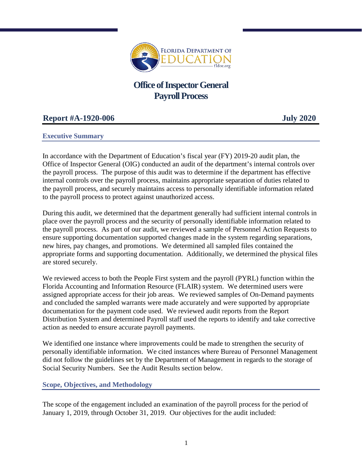

# **Office of Inspector General Payroll Process**

## **Report #A-1920-006 July 2020**

## **Executive Summary**

In accordance with the Department of Education's fiscal year (FY) 2019-20 audit plan, the Office of Inspector General (OIG) conducted an audit of the department's internal controls over the payroll process. The purpose of this audit was to determine if the department has effective internal controls over the payroll process, maintains appropriate separation of duties related to the payroll process, and securely maintains access to personally identifiable information related to the payroll process to protect against unauthorized access.

During this audit, we determined that the department generally had sufficient internal controls in place over the payroll process and the security of personally identifiable information related to the payroll process. As part of our audit, we reviewed a sample of Personnel Action Requests to ensure supporting documentation supported changes made in the system regarding separations, new hires, pay changes, and promotions. We determined all sampled files contained the appropriate forms and supporting documentation. Additionally, we determined the physical files are stored securely.

We reviewed access to both the People First system and the payroll (PYRL) function within the Florida Accounting and Information Resource (FLAIR) system. We determined users were assigned appropriate access for their job areas. We reviewed samples of On-Demand payments and concluded the sampled warrants were made accurately and were supported by appropriate documentation for the payment code used. We reviewed audit reports from the Report Distribution System and determined Payroll staff used the reports to identify and take corrective action as needed to ensure accurate payroll payments.

We identified one instance where improvements could be made to strengthen the security of personally identifiable information. We cited instances where Bureau of Personnel Management did not follow the guidelines set by the Department of Management in regards to the storage of Social Security Numbers. See the Audit Results section below.

## **Scope, Objectives, and Methodology**

The scope of the engagement included an examination of the payroll process for the period of January 1, 2019, through October 31, 2019. Our objectives for the audit included: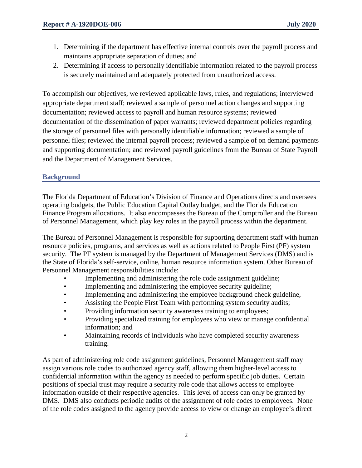- 1. Determining if the department has effective internal controls over the payroll process and maintains appropriate separation of duties; and
- 2. Determining if access to personally identifiable information related to the payroll process is securely maintained and adequately protected from unauthorized access.

To accomplish our objectives, we reviewed applicable laws, rules, and regulations; interviewed appropriate department staff; reviewed a sample of personnel action changes and supporting documentation; reviewed access to payroll and human resource systems; reviewed documentation of the dissemination of paper warrants; reviewed department policies regarding the storage of personnel files with personally identifiable information; reviewed a sample of personnel files; reviewed the internal payroll process; reviewed a sample of on demand payments and supporting documentation; and reviewed payroll guidelines from the Bureau of State Payroll and the Department of Management Services.

## **Background**

The Florida Department of Education's Division of Finance and Operations directs and oversees operating budgets, the Public Education Capital Outlay budget, and the Florida Education Finance Program allocations. It also encompasses the Bureau of the Comptroller and the Bureau of Personnel Management, which play key roles in the payroll process within the department.

The Bureau of Personnel Management is responsible for supporting department staff with human resource policies, programs, and services as well as actions related to People First (PF) system security. The PF system is managed by the Department of Management Services (DMS) and is the State of Florida's self-service, online, human resource information system. Other Bureau of Personnel Management responsibilities include:

- Implementing and administering the role code assignment guideline;
- Implementing and administering the employee security guideline;
- Implementing and administering the employee background check guideline,
- Assisting the People First Team with performing system security audits;
- Providing information security awareness training to employees;
- Providing specialized training for employees who view or manage confidential information; and
- Maintaining records of individuals who have completed security awareness training.

As part of administering role code assignment guidelines, Personnel Management staff may assign various role codes to authorized agency staff, allowing them higher-level access to confidential information within the agency as needed to perform specific job duties. Certain positions of special trust may require a security role code that allows access to employee information outside of their respective agencies. This level of access can only be granted by DMS. DMS also conducts periodic audits of the assignment of role codes to employees. None of the role codes assigned to the agency provide access to view or change an employee's direct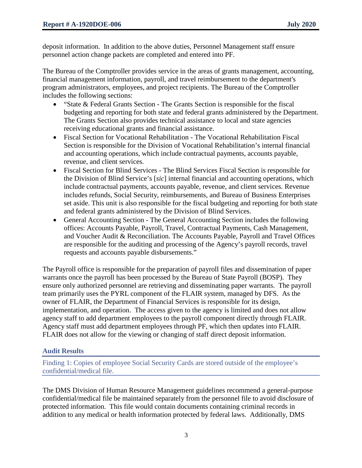deposit information. In addition to the above duties, Personnel Management staff ensure personnel action change packets are completed and entered into PF.

The Bureau of the Comptroller provides service in the areas of grants management, accounting, financial management information, payroll, and travel reimbursement to the department's program administrators, employees, and project recipients. The Bureau of the Comptroller includes the following sections:

- "State & Federal Grants Section The Grants Section is responsible for the fiscal budgeting and reporting for both state and federal grants administered by the Department. The Grants Section also provides technical assistance to local and state agencies receiving educational grants and financial assistance.
- Fiscal Section for Vocational Rehabilitation The Vocational Rehabilitation Fiscal Section is responsible for the Division of Vocational Rehabilitation's internal financial and accounting operations, which include contractual payments, accounts payable, revenue, and client services.
- Fiscal Section for Blind Services The Blind Services Fiscal Section is responsible for the Division of Blind Service's [*sic*] internal financial and accounting operations, which include contractual payments, accounts payable, revenue, and client services. Revenue includes refunds, Social Security, reimbursements, and Bureau of Business Enterprises set aside. This unit is also responsible for the fiscal budgeting and reporting for both state and federal grants administered by the Division of Blind Services.
- General Accounting Section The General Accounting Section includes the following offices: Accounts Payable, Payroll, Travel, Contractual Payments, Cash Management, and Voucher Audit & Reconciliation. The Accounts Payable, Payroll and Travel Offices are responsible for the auditing and processing of the Agency's payroll records, travel requests and accounts payable disbursements."

The Payroll office is responsible for the preparation of payroll files and dissemination of paper warrants once the payroll has been processed by the Bureau of State Payroll (BOSP). They ensure only authorized personnel are retrieving and disseminating paper warrants. The payroll team primarily uses the PYRL component of the FLAIR system, managed by DFS. As the owner of FLAIR, the Department of Financial Services is responsible for its design, implementation, and operation. The access given to the agency is limited and does not allow agency staff to add department employees to the payroll component directly through FLAIR. Agency staff must add department employees through PF, which then updates into FLAIR. FLAIR does not allow for the viewing or changing of staff direct deposit information.

## **Audit Results**

Finding 1: Copies of employee Social Security Cards are stored outside of the employee's confidential/medical file.

The DMS Division of Human Resource Management guidelines recommend a general-purpose confidential/medical file be maintained separately from the personnel file to avoid disclosure of protected information. This file would contain documents containing criminal records in addition to any medical or health information protected by federal laws. Additionally, DMS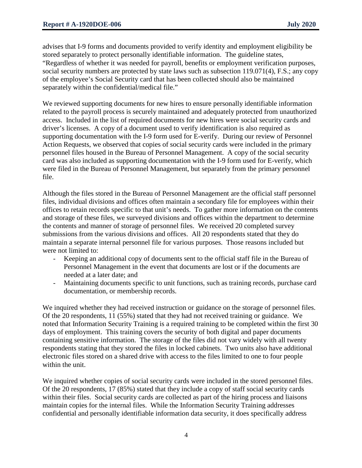advises that I-9 forms and documents provided to verify identity and employment eligibility be stored separately to protect personally identifiable information. The guideline states, "Regardless of whether it was needed for payroll, benefits or employment verification purposes, social security numbers are protected by state laws such as subsection 119.071(4), F.S.; any copy of the employee's Social Security card that has been collected should also be maintained separately within the confidential/medical file."

We reviewed supporting documents for new hires to ensure personally identifiable information related to the payroll process is securely maintained and adequately protected from unauthorized access. Included in the list of required documents for new hires were social security cards and driver's licenses. A copy of a document used to verify identification is also required as supporting documentation with the I-9 form used for E-verify. During our review of Personnel Action Requests, we observed that copies of social security cards were included in the primary personnel files housed in the Bureau of Personnel Management. A copy of the social security card was also included as supporting documentation with the I-9 form used for E-verify, which were filed in the Bureau of Personnel Management, but separately from the primary personnel file.

Although the files stored in the Bureau of Personnel Management are the official staff personnel files, individual divisions and offices often maintain a secondary file for employees within their offices to retain records specific to that unit's needs. To gather more information on the contents and storage of these files, we surveyed divisions and offices within the department to determine the contents and manner of storage of personnel files. We received 20 completed survey submissions from the various divisions and offices. All 20 respondents stated that they do maintain a separate internal personnel file for various purposes. Those reasons included but were not limited to:

- Keeping an additional copy of documents sent to the official staff file in the Bureau of Personnel Management in the event that documents are lost or if the documents are needed at a later date; and
- Maintaining documents specific to unit functions, such as training records, purchase card documentation, or membership records.

We inquired whether they had received instruction or guidance on the storage of personnel files. Of the 20 respondents, 11 (55%) stated that they had not received training or guidance. We noted that Information Security Training is a required training to be completed within the first 30 days of employment. This training covers the security of both digital and paper documents containing sensitive information. The storage of the files did not vary widely with all twenty respondents stating that they stored the files in locked cabinets. Two units also have additional electronic files stored on a shared drive with access to the files limited to one to four people within the unit.

We inquired whether copies of social security cards were included in the stored personnel files. Of the 20 respondents, 17 (85%) stated that they include a copy of staff social security cards within their files. Social security cards are collected as part of the hiring process and liaisons maintain copies for the internal files. While the Information Security Training addresses confidential and personally identifiable information data security, it does specifically address